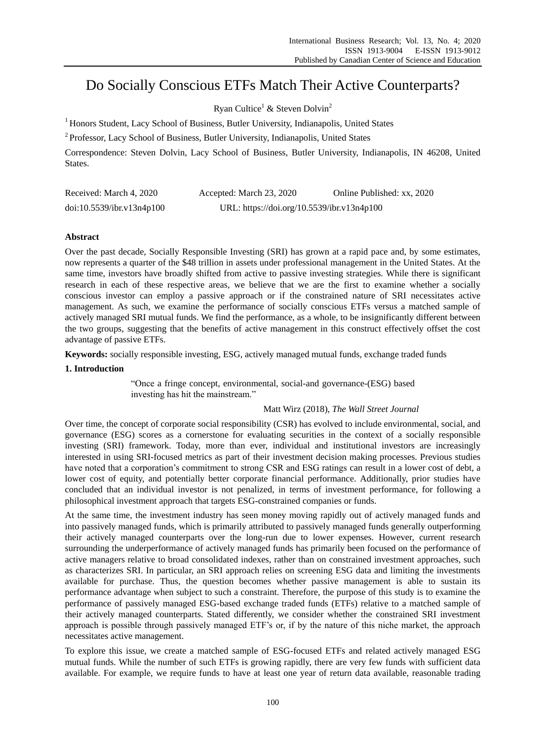# Do Socially Conscious ETFs Match Their Active Counterparts?

Ryan Cultice<sup>1</sup> & Steven Dolvin<sup>2</sup>

<sup>1</sup> Honors Student, Lacy School of Business, Butler University, Indianapolis, United States

<sup>2</sup> Professor, Lacy School of Business, Butler University, Indianapolis, United States

Correspondence: Steven Dolvin, Lacy School of Business, Butler University, Indianapolis, IN 46208, United States.

| Received: March 4, 2020   | Accepted: March 23, 2020                   | Online Published: xx, 2020 |
|---------------------------|--------------------------------------------|----------------------------|
| doi:10.5539/ibr.v13n4p100 | URL: https://doi.org/10.5539/ibr.v13n4p100 |                            |

# **Abstract**

Over the past decade, Socially Responsible Investing (SRI) has grown at a rapid pace and, by some estimates, now represents a quarter of the \$48 trillion in assets under professional management in the United States. At the same time, investors have broadly shifted from active to passive investing strategies. While there is significant research in each of these respective areas, we believe that we are the first to examine whether a socially conscious investor can employ a passive approach or if the constrained nature of SRI necessitates active management. As such, we examine the performance of socially conscious ETFs versus a matched sample of actively managed SRI mutual funds. We find the performance, as a whole, to be insignificantly different between the two groups, suggesting that the benefits of active management in this construct effectively offset the cost advantage of passive ETFs.

**Keywords:** socially responsible investing, ESG, actively managed mutual funds, exchange traded funds

# **1. Introduction**

"Once a fringe concept, environmental, social-and governance-(ESG) based investing has hit the mainstream."

# Matt Wirz (2018), *The Wall Street Journal*

Over time, the concept of corporate social responsibility (CSR) has evolved to include environmental, social, and governance (ESG) scores as a cornerstone for evaluating securities in the context of a socially responsible investing (SRI) framework. Today, more than ever, individual and institutional investors are increasingly interested in using SRI-focused metrics as part of their investment decision making processes. Previous studies have noted that a corporation's commitment to strong CSR and ESG ratings can result in a lower cost of debt, a lower cost of equity, and potentially better corporate financial performance. Additionally, prior studies have concluded that an individual investor is not penalized, in terms of investment performance, for following a philosophical investment approach that targets ESG-constrained companies or funds.

At the same time, the investment industry has seen money moving rapidly out of actively managed funds and into passively managed funds, which is primarily attributed to passively managed funds generally outperforming their actively managed counterparts over the long-run due to lower expenses. However, current research surrounding the underperformance of actively managed funds has primarily been focused on the performance of active managers relative to broad consolidated indexes, rather than on constrained investment approaches, such as characterizes SRI. In particular, an SRI approach relies on screening ESG data and limiting the investments available for purchase. Thus, the question becomes whether passive management is able to sustain its performance advantage when subject to such a constraint. Therefore, the purpose of this study is to examine the performance of passively managed ESG-based exchange traded funds (ETFs) relative to a matched sample of their actively managed counterparts. Stated differently, we consider whether the constrained SRI investment approach is possible through passively managed ETF's or, if by the nature of this niche market, the approach necessitates active management.

To explore this issue, we create a matched sample of ESG-focused ETFs and related actively managed ESG mutual funds. While the number of such ETFs is growing rapidly, there are very few funds with sufficient data available. For example, we require funds to have at least one year of return data available, reasonable trading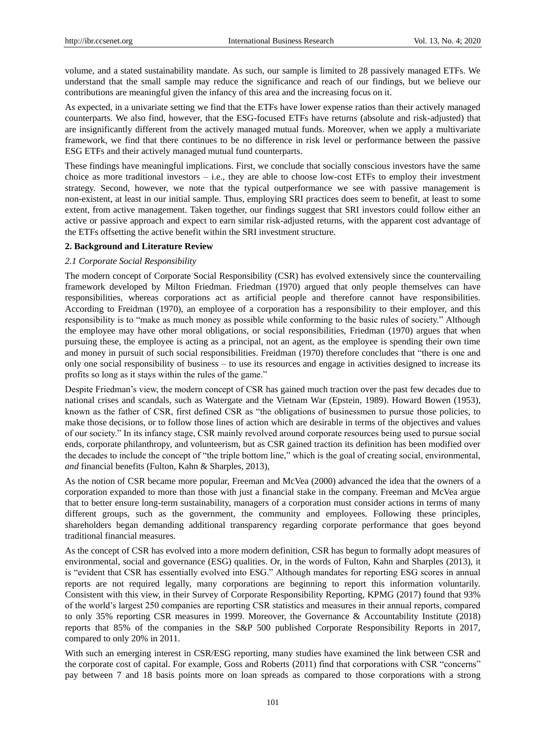volume, and a stated sustainability mandate. As such, our sample is limited to 28 passively managed ETFs. We understand that the small sample may reduce the significance and reach of our findings, but we believe our contributions are meaningful given the infancy of this area and the increasing focus on it.

As expected, in a univariate setting we find that the ETFs have lower expense ratios than their actively managed counterparts. We also find, however, that the ESG-focused ETFs have returns (absolute and risk-adjusted) that are insignificantly different from the actively managed mutual funds. Moreover, when we apply a multivariate framework, we find that there continues to be no difference in risk level or performance between the passive ESG ETFs and their actively managed mutual fund counterparts.

These findings have meaningful implications. First, we conclude that socially conscious investors have the same choice as more traditional investors  $-$  i.e., they are able to choose low-cost ETFs to employ their investment strategy. Second, however, we note that the typical outperformance we see with passive management is non-existent, at least in our initial sample. Thus, employing SRI practices does seem to benefit, at least to some extent, from active management. Taken together, our findings suggest that SRI investors could follow either an active or passive approach and expect to earn similar risk-adjusted returns, with the apparent cost advantage of the ETFs offsetting the active benefit within the SRI investment structure.

# **2. Background and Literature Review**

#### *2.1 Corporate Social Responsibility*

The modern concept of Corporate Social Responsibility (CSR) has evolved extensively since the countervailing framework developed by Milton Friedman*.* Friedman (1970) argued that only people themselves can have responsibilities, whereas corporations act as artificial people and therefore cannot have responsibilities. According to Freidman (1970), an employee of a corporation has a responsibility to their employer, and this responsibility is to "make as much money as possible while conforming to the basic rules of society." Although the employee may have other moral obligations, or social responsibilities, Friedman (1970) argues that when pursuing these, the employee is acting as a principal, not an agent, as the employee is spending their own time and money in pursuit of such social responsibilities. Freidman (1970) therefore concludes that "there is one and only one social responsibility of business – to use its resources and engage in activities designed to increase its profits so long as it stays within the rules of the game."

Despite Friedman's view, the modern concept of CSR has gained much traction over the past few decades due to national crises and scandals, such as Watergate and the Vietnam War (Epstein, 1989). Howard Bowen (1953), known as the father of CSR, first defined CSR as "the obligations of businessmen to pursue those policies, to make those decisions, or to follow those lines of action which are desirable in terms of the objectives and values of our society." In its infancy stage, CSR mainly revolved around corporate resources being used to pursue social ends, corporate philanthropy, and volunteerism, but as CSR gained traction its definition has been modified over the decades to include the concept of "the triple bottom line," which is the goal of creating social, environmental, *and* financial benefits (Fulton, Kahn & Sharples, 2013),

As the notion of CSR became more popular, Freeman and McVea (2000) advanced the idea that the owners of a corporation expanded to more than those with just a financial stake in the company. Freeman and McVea argue that to better ensure long-term sustainability, managers of a corporation must consider actions in terms of many different groups, such as the government, the community and employees. Following these principles, shareholders began demanding additional transparency regarding corporate performance that goes beyond traditional financial measures.

As the concept of CSR has evolved into a more modern definition, CSR has begun to formally adopt measures of environmental, social and governance (ESG) qualities. Or, in the words of Fulton, Kahn and Sharples (2013), it is "evident that CSR has essentially evolved into ESG." Although mandates for reporting ESG scores in annual reports are not required legally, many corporations are beginning to report this information voluntarily. Consistent with this view, in their Survey of Corporate Responsibility Reporting, KPMG (2017) found that 93% of the world's largest 250 companies are reporting CSR statistics and measures in their annual reports, compared to only 35% reporting CSR measures in 1999. Moreover, the Governance & Accountability Institute (2018) reports that 85% of the companies in the S&P 500 published Corporate Responsibility Reports in 2017, compared to only 20% in 2011.

With such an emerging interest in CSR/ESG reporting, many studies have examined the link between CSR and the corporate cost of capital. For example, Goss and Roberts (2011) find that corporations with CSR "concerns" pay between 7 and 18 basis points more on loan spreads as compared to those corporations with a strong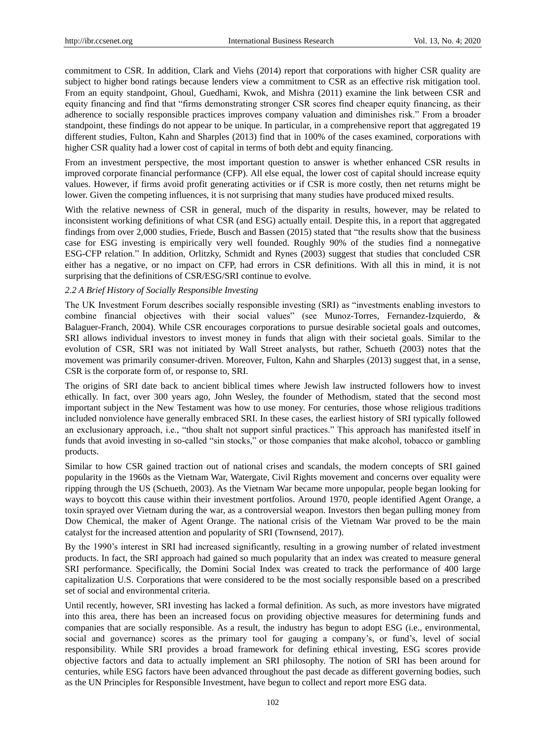commitment to CSR. In addition, Clark and Viehs (2014) report that corporations with higher CSR quality are subject to higher bond ratings because lenders view a commitment to CSR as an effective risk mitigation tool. From an equity standpoint, Ghoul, Guedhami, Kwok, and Mishra (2011) examine the link between CSR and equity financing and find that "firms demonstrating stronger CSR scores find cheaper equity financing, as their adherence to socially responsible practices improves company valuation and diminishes risk." From a broader standpoint, these findings do not appear to be unique. In particular, in a comprehensive report that aggregated 19 different studies, Fulton, Kahn and Sharples (2013) find that in 100% of the cases examined, corporations with higher CSR quality had a lower cost of capital in terms of both debt and equity financing.

From an investment perspective, the most important question to answer is whether enhanced CSR results in improved corporate financial performance (CFP). All else equal, the lower cost of capital should increase equity values. However, if firms avoid profit generating activities or if CSR is more costly, then net returns might be lower. Given the competing influences, it is not surprising that many studies have produced mixed results.

With the relative newness of CSR in general, much of the disparity in results, however, may be related to inconsistent working definitions of what CSR (and ESG) actually entail. Despite this, in a report that aggregated findings from over 2,000 studies, Friede, Busch and Bassen (2015) stated that "the results show that the business case for ESG investing is empirically very well founded. Roughly 90% of the studies find a nonnegative ESG-CFP relation." In addition, Orlitzky, Schmidt and Rynes (2003) suggest that studies that concluded CSR either has a negative, or no impact on CFP, had errors in CSR definitions. With all this in mind, it is not surprising that the definitions of CSR/ESG/SRI continue to evolve.

#### *2.2 A Brief History of Socially Responsible Investing*

The UK Investment Forum describes socially responsible investing (SRI) as "investments enabling investors to combine financial objectives with their social values" (see Munoz-Torres, Fernandez-Izquierdo, & Balaguer-Franch, 2004). While CSR encourages corporations to pursue desirable societal goals and outcomes, SRI allows individual investors to invest money in funds that align with their societal goals. Similar to the evolution of CSR, SRI was not initiated by Wall Street analysts, but rather, Schueth (2003) notes that the movement was primarily consumer-driven. Moreover, Fulton, Kahn and Sharples (2013) suggest that, in a sense, CSR is the corporate form of, or response to, SRI.

The origins of SRI date back to ancient biblical times where Jewish law instructed followers how to invest ethically. In fact, over 300 years ago, John Wesley, the founder of Methodism, stated that the second most important subject in the New Testament was how to use money. For centuries, those whose religious traditions included nonviolence have generally embraced SRI. In these cases, the earliest history of SRI typically followed an exclusionary approach, i.e., "thou shalt not support sinful practices." This approach has manifested itself in funds that avoid investing in so-called "sin stocks," or those companies that make alcohol, tobacco or gambling products.

Similar to how CSR gained traction out of national crises and scandals, the modern concepts of SRI gained popularity in the 1960s as the Vietnam War, Watergate, Civil Rights movement and concerns over equality were ripping through the US (Schueth, 2003). As the Vietnam War became more unpopular, people began looking for ways to boycott this cause within their investment portfolios. Around 1970, people identified Agent Orange, a toxin sprayed over Vietnam during the war, as a controversial weapon. Investors then began pulling money from Dow Chemical, the maker of Agent Orange. The national crisis of the Vietnam War proved to be the main catalyst for the increased attention and popularity of SRI (Townsend, 2017).

By the 1990's interest in SRI had increased significantly, resulting in a growing number of related investment products. In fact, the SRI approach had gained so much popularity that an index was created to measure general SRI performance. Specifically, the Domini Social Index was created to track the performance of 400 large capitalization U.S. Corporations that were considered to be the most socially responsible based on a prescribed set of social and environmental criteria.

Until recently, however, SRI investing has lacked a formal definition. As such, as more investors have migrated into this area, there has been an increased focus on providing objective measures for determining funds and companies that are socially responsible. As a result, the industry has begun to adopt ESG (i.e., environmental, social and governance) scores as the primary tool for gauging a company's, or fund's, level of social responsibility. While SRI provides a broad framework for defining ethical investing, ESG scores provide objective factors and data to actually implement an SRI philosophy. The notion of SRI has been around for centuries, while ESG factors have been advanced throughout the past decade as different governing bodies, such as the UN Principles for Responsible Investment, have begun to collect and report more ESG data.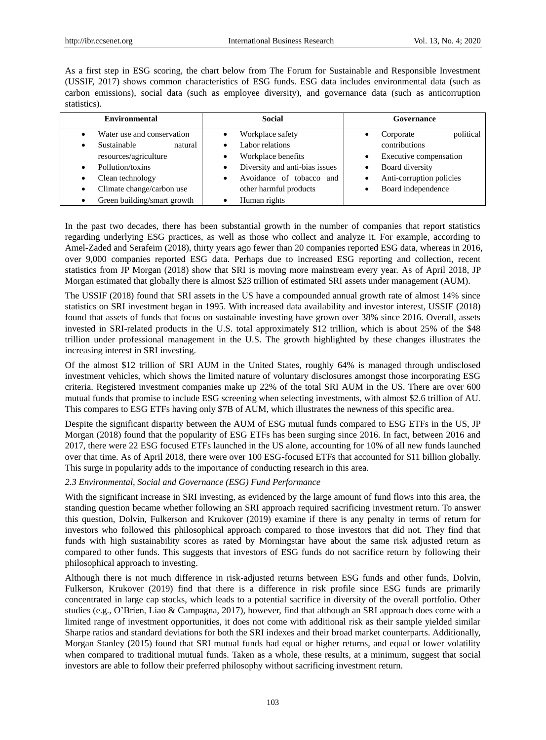As a first step in ESG scoring, the chart below from The Forum for Sustainable and Responsible Investment (USSIF, 2017) shows common characteristics of ESG funds. ESG data includes environmental data (such as carbon emissions), social data (such as employee diversity), and governance data (such as anticorruption statistics).

| <b>Environmental</b>                                                                                                                                                              | Social                                                                                                                                                            | Governance                                                                                                                             |
|-----------------------------------------------------------------------------------------------------------------------------------------------------------------------------------|-------------------------------------------------------------------------------------------------------------------------------------------------------------------|----------------------------------------------------------------------------------------------------------------------------------------|
| Water use and conservation<br>Sustainable<br>natural<br>resources/agriculture<br>Pollution/toxins<br>Clean technology<br>Climate change/carbon use<br>Green building/smart growth | Workplace safety<br>Labor relations<br>Workplace benefits<br>Diversity and anti-bias issues<br>Avoidance of tobacco and<br>other harmful products<br>Human rights | political<br>Corporate<br>contributions<br>Executive compensation<br>Board diversity<br>Anti-corruption policies<br>Board independence |

In the past two decades, there has been substantial growth in the number of companies that report statistics regarding underlying ESG practices, as well as those who collect and analyze it. For example, according to Amel-Zaded and Serafeim (2018), thirty years ago fewer than 20 companies reported ESG data, whereas in 2016, over 9,000 companies reported ESG data. Perhaps due to increased ESG reporting and collection, recent statistics from JP Morgan (2018) show that SRI is moving more mainstream every year. As of April 2018, JP Morgan estimated that globally there is almost \$23 trillion of estimated SRI assets under management (AUM).

The USSIF (2018) found that SRI assets in the US have a compounded annual growth rate of almost 14% since statistics on SRI investment began in 1995. With increased data availability and investor interest, USSIF (2018) found that assets of funds that focus on sustainable investing have grown over 38% since 2016. Overall, assets invested in SRI-related products in the U.S. total approximately \$12 trillion, which is about 25% of the \$48 trillion under professional management in the U.S. The growth highlighted by these changes illustrates the increasing interest in SRI investing.

Of the almost \$12 trillion of SRI AUM in the United States, roughly 64% is managed through undisclosed investment vehicles, which shows the limited nature of voluntary disclosures amongst those incorporating ESG criteria. Registered investment companies make up 22% of the total SRI AUM in the US. There are over 600 mutual funds that promise to include ESG screening when selecting investments, with almost \$2.6 trillion of AU. This compares to ESG ETFs having only \$7B of AUM, which illustrates the newness of this specific area.

Despite the significant disparity between the AUM of ESG mutual funds compared to ESG ETFs in the US, JP Morgan (2018) found that the popularity of ESG ETFs has been surging since 2016. In fact, between 2016 and 2017, there were 22 ESG focused ETFs launched in the US alone, accounting for 10% of all new funds launched over that time. As of April 2018, there were over 100 ESG-focused ETFs that accounted for \$11 billion globally. This surge in popularity adds to the importance of conducting research in this area.

# *2.3 Environmental, Social and Governance (ESG) Fund Performance*

With the significant increase in SRI investing, as evidenced by the large amount of fund flows into this area, the standing question became whether following an SRI approach required sacrificing investment return. To answer this question, Dolvin, Fulkerson and Krukover (2019) examine if there is any penalty in terms of return for investors who followed this philosophical approach compared to those investors that did not. They find that funds with high sustainability scores as rated by Morningstar have about the same risk adjusted return as compared to other funds. This suggests that investors of ESG funds do not sacrifice return by following their philosophical approach to investing.

Although there is not much difference in risk-adjusted returns between ESG funds and other funds, Dolvin, Fulkerson, Krukover (2019) find that there is a difference in risk profile since ESG funds are primarily concentrated in large cap stocks, which leads to a potential sacrifice in diversity of the overall portfolio. Other studies (e.g., O'Brien, Liao & Campagna, 2017), however, find that although an SRI approach does come with a limited range of investment opportunities, it does not come with additional risk as their sample yielded similar Sharpe ratios and standard deviations for both the SRI indexes and their broad market counterparts. Additionally, Morgan Stanley (2015) found that SRI mutual funds had equal or higher returns, and equal or lower volatility when compared to traditional mutual funds. Taken as a whole, these results, at a minimum, suggest that social investors are able to follow their preferred philosophy without sacrificing investment return.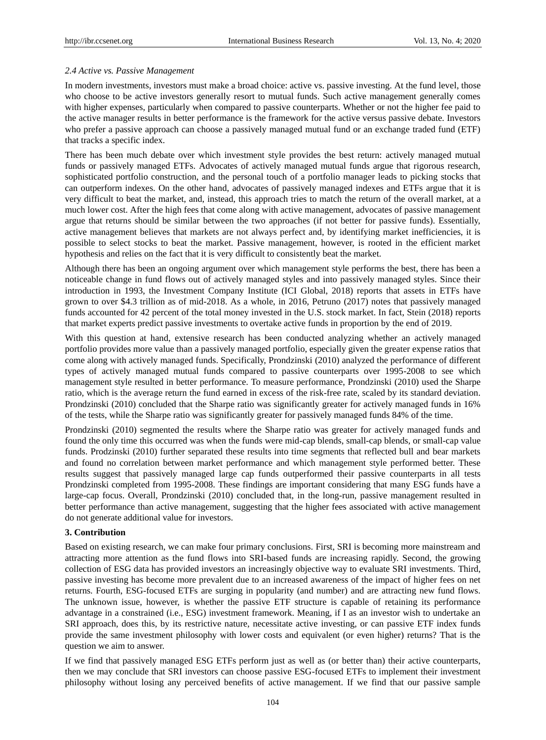#### *2.4 Active vs. Passive Management*

In modern investments, investors must make a broad choice: active vs. passive investing. At the fund level, those who choose to be active investors generally resort to mutual funds. Such active management generally comes with higher expenses, particularly when compared to passive counterparts. Whether or not the higher fee paid to the active manager results in better performance is the framework for the active versus passive debate. Investors who prefer a passive approach can choose a passively managed mutual fund or an exchange traded fund (ETF) that tracks a specific index.

There has been much debate over which investment style provides the best return: actively managed mutual funds or passively managed ETFs. Advocates of actively managed mutual funds argue that rigorous research, sophisticated portfolio construction, and the personal touch of a portfolio manager leads to picking stocks that can outperform indexes. On the other hand, advocates of passively managed indexes and ETFs argue that it is very difficult to beat the market, and, instead, this approach tries to match the return of the overall market, at a much lower cost. After the high fees that come along with active management, advocates of passive management argue that returns should be similar between the two approaches (if not better for passive funds). Essentially, active management believes that markets are not always perfect and, by identifying market inefficiencies, it is possible to select stocks to beat the market. Passive management, however, is rooted in the efficient market hypothesis and relies on the fact that it is very difficult to consistently beat the market.

Although there has been an ongoing argument over which management style performs the best, there has been a noticeable change in fund flows out of actively managed styles and into passively managed styles. Since their introduction in 1993, the Investment Company Institute (ICI Global, 2018) reports that assets in ETFs have grown to over \$4.3 trillion as of mid-2018. As a whole, in 2016, Petruno (2017) notes that passively managed funds accounted for 42 percent of the total money invested in the U.S. stock market. In fact, Stein (2018) reports that market experts predict passive investments to overtake active funds in proportion by the end of 2019.

With this question at hand, extensive research has been conducted analyzing whether an actively managed portfolio provides more value than a passively managed portfolio, especially given the greater expense ratios that come along with actively managed funds. Specifically, Prondzinski (2010) analyzed the performance of different types of actively managed mutual funds compared to passive counterparts over 1995-2008 to see which management style resulted in better performance. To measure performance, Prondzinski (2010) used the Sharpe ratio, which is the average return the fund earned in excess of the risk-free rate, scaled by its standard deviation. Prondzinski (2010) concluded that the Sharpe ratio was significantly greater for actively managed funds in 16% of the tests, while the Sharpe ratio was significantly greater for passively managed funds 84% of the time.

Prondzinski (2010) segmented the results where the Sharpe ratio was greater for actively managed funds and found the only time this occurred was when the funds were mid-cap blends, small-cap blends, or small-cap value funds. Prodzinski (2010) further separated these results into time segments that reflected bull and bear markets and found no correlation between market performance and which management style performed better. These results suggest that passively managed large cap funds outperformed their passive counterparts in all tests Prondzinski completed from 1995-2008. These findings are important considering that many ESG funds have a large-cap focus. Overall, Prondzinski (2010) concluded that, in the long-run, passive management resulted in better performance than active management, suggesting that the higher fees associated with active management do not generate additional value for investors.

#### **3. Contribution**

Based on existing research, we can make four primary conclusions. First, SRI is becoming more mainstream and attracting more attention as the fund flows into SRI-based funds are increasing rapidly. Second, the growing collection of ESG data has provided investors an increasingly objective way to evaluate SRI investments. Third, passive investing has become more prevalent due to an increased awareness of the impact of higher fees on net returns. Fourth, ESG-focused ETFs are surging in popularity (and number) and are attracting new fund flows. The unknown issue, however, is whether the passive ETF structure is capable of retaining its performance advantage in a constrained (i.e., ESG) investment framework. Meaning, if I as an investor wish to undertake an SRI approach, does this, by its restrictive nature, necessitate active investing, or can passive ETF index funds provide the same investment philosophy with lower costs and equivalent (or even higher) returns? That is the question we aim to answer.

If we find that passively managed ESG ETFs perform just as well as (or better than) their active counterparts, then we may conclude that SRI investors can choose passive ESG-focused ETFs to implement their investment philosophy without losing any perceived benefits of active management. If we find that our passive sample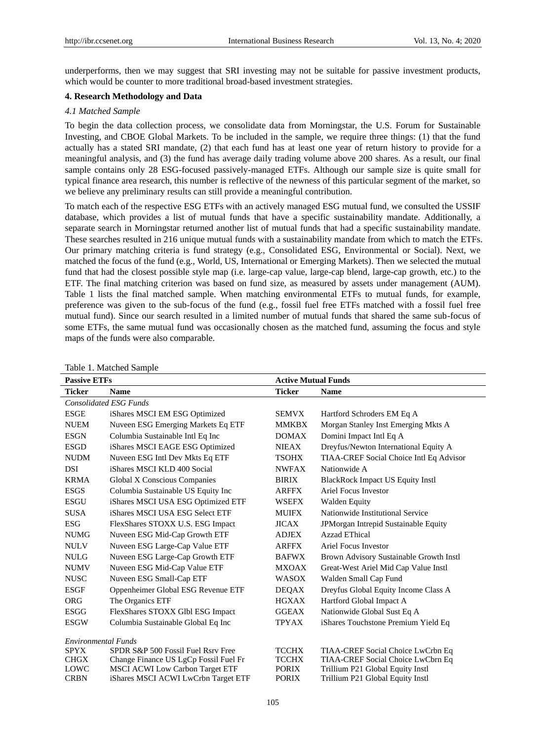underperforms, then we may suggest that SRI investing may not be suitable for passive investment products, which would be counter to more traditional broad-based investment strategies.

# **4. Research Methodology and Data**

#### *4.1 Matched Sample*

To begin the data collection process, we consolidate data from Morningstar, the U.S. Forum for Sustainable Investing, and CBOE Global Markets. To be included in the sample, we require three things: (1) that the fund actually has a stated SRI mandate, (2) that each fund has at least one year of return history to provide for a meaningful analysis, and (3) the fund has average daily trading volume above 200 shares. As a result, our final sample contains only 28 ESG-focused passively-managed ETFs. Although our sample size is quite small for typical finance area research, this number is reflective of the newness of this particular segment of the market, so we believe any preliminary results can still provide a meaningful contribution.

To match each of the respective ESG ETFs with an actively managed ESG mutual fund, we consulted the USSIF database, which provides a list of mutual funds that have a specific sustainability mandate. Additionally, a separate search in Morningstar returned another list of mutual funds that had a specific sustainability mandate. These searches resulted in 216 unique mutual funds with a sustainability mandate from which to match the ETFs. Our primary matching criteria is fund strategy (e.g., Consolidated ESG, Environmental or Social). Next, we matched the focus of the fund (e.g., World, US, International or Emerging Markets). Then we selected the mutual fund that had the closest possible style map (i.e. large-cap value, large-cap blend, large-cap growth, etc.) to the ETF. The final matching criterion was based on fund size, as measured by assets under management (AUM). Table 1 lists the final matched sample. When matching environmental ETFs to mutual funds, for example, preference was given to the sub-focus of the fund (e.g., fossil fuel free ETFs matched with a fossil fuel free mutual fund). Since our search resulted in a limited number of mutual funds that shared the same sub-focus of some ETFs, the same mutual fund was occasionally chosen as the matched fund, assuming the focus and style maps of the funds were also comparable.

| <b>Passive ETFs</b>        |                                                                                 | <b>Active Mutual Funds</b>   |                                                                       |
|----------------------------|---------------------------------------------------------------------------------|------------------------------|-----------------------------------------------------------------------|
| <b>Ticker</b>              | <b>Name</b>                                                                     | <b>Ticker</b>                | <b>Name</b>                                                           |
|                            | <b>Consolidated ESG Funds</b>                                                   |                              |                                                                       |
| <b>ESGE</b>                | iShares MSCI EM ESG Optimized                                                   | <b>SEMVX</b>                 | Hartford Schroders EM Eq A                                            |
| <b>NUEM</b>                | Nuveen ESG Emerging Markets Eq ETF                                              | <b>MMKBX</b>                 | Morgan Stanley Inst Emerging Mkts A                                   |
| <b>ESGN</b>                | Columbia Sustainable Intl Eq Inc                                                | <b>DOMAX</b>                 | Domini Impact Intl Eq A                                               |
| <b>ESGD</b>                | iShares MSCI EAGE ESG Optimized                                                 | <b>NIEAX</b>                 | Dreyfus/Newton International Equity A                                 |
| <b>NUDM</b>                | Nuveen ESG Intl Dev Mkts Eq ETF                                                 | <b>TSOHX</b>                 | TIAA-CREF Social Choice Intl Eq Advisor                               |
| <b>DSI</b>                 | iShares MSCI KLD 400 Social                                                     | <b>NWFAX</b>                 | Nationwide A                                                          |
| <b>KRMA</b>                | Global X Conscious Companies                                                    | <b>BIRIX</b>                 | <b>BlackRock Impact US Equity Instl</b>                               |
| <b>ESGS</b>                | Columbia Sustainable US Equity Inc                                              | <b>ARFFX</b>                 | <b>Ariel Focus Investor</b>                                           |
| <b>ESGU</b>                | iShares MSCI USA ESG Optimized ETF                                              | <b>WSEFX</b>                 | <b>Walden Equity</b>                                                  |
| <b>SUSA</b>                | iShares MSCI USA ESG Select ETF                                                 | <b>MUIFX</b>                 | Nationwide Institutional Service                                      |
| <b>ESG</b>                 | FlexShares STOXX U.S. ESG Impact                                                | <b>JICAX</b>                 | JPMorgan Intrepid Sustainable Equity                                  |
| <b>NUMG</b>                | Nuveen ESG Mid-Cap Growth ETF                                                   | <b>ADJEX</b>                 | Azzad EThical                                                         |
| <b>NULV</b>                | Nuveen ESG Large-Cap Value ETF                                                  | <b>ARFFX</b>                 | Ariel Focus Investor                                                  |
| <b>NULG</b>                | Nuveen ESG Large-Cap Growth ETF                                                 | <b>BAFWX</b>                 | Brown Advisory Sustainable Growth Instl                               |
| <b>NUMV</b>                | Nuveen ESG Mid-Cap Value ETF                                                    | <b>MXOAX</b>                 | Great-West Ariel Mid Cap Value Instl                                  |
| <b>NUSC</b>                | Nuveen ESG Small-Cap ETF                                                        | <b>WASOX</b>                 | Walden Small Cap Fund                                                 |
| <b>ESGF</b>                | Oppenheimer Global ESG Revenue ETF                                              | <b>DEQAX</b>                 | Dreyfus Global Equity Income Class A                                  |
| <b>ORG</b>                 | The Organics ETF                                                                | <b>HGXAX</b>                 | Hartford Global Impact A                                              |
| <b>ESGG</b>                | FlexShares STOXX Glbl ESG Impact                                                | <b>GGEAX</b>                 | Nationwide Global Sust Eq A                                           |
| <b>ESGW</b>                | Columbia Sustainable Global Eq Inc                                              | <b>TPYAX</b>                 | iShares Touchstone Premium Yield Eq                                   |
| <b>Environmental Funds</b> |                                                                                 |                              |                                                                       |
| <b>SPYX</b>                | SPDR S&P 500 Fossil Fuel Rsry Free                                              | <b>TCCHX</b>                 | TIAA-CREF Social Choice LwCrbn Eq                                     |
| <b>CHGX</b><br>LOWC        | Change Finance US LgCp Fossil Fuel Fr<br><b>MSCI ACWI Low Carbon Target ETF</b> | <b>TCCHX</b><br><b>PORIX</b> | TIAA-CREF Social Choice LwCbrn Eq<br>Trillium P21 Global Equity Instl |
| <b>CRBN</b>                | iShares MSCI ACWI LwCrbn Target ETF                                             | <b>PORIX</b>                 | Trillium P21 Global Equity Instl                                      |

Table 1. Matched Sample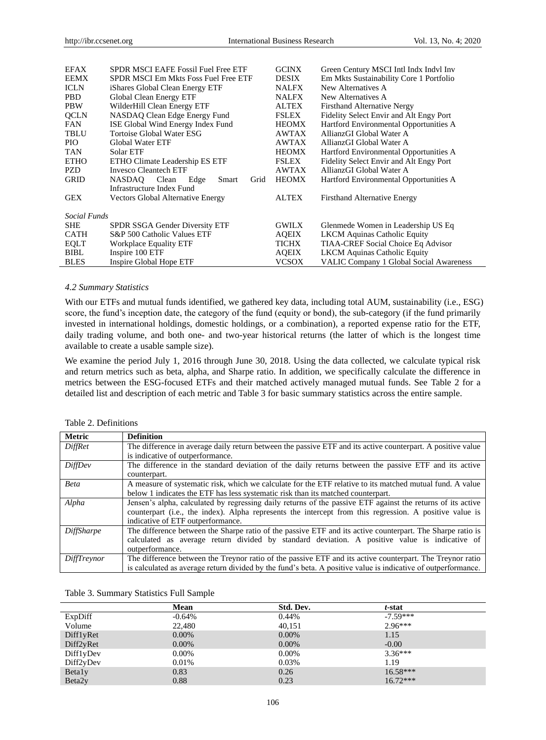| <b>EFAX</b>  | SPDR MSCI EAFE Fossil Fuel Free ETF   | <b>GCINX</b> | Green Century MSCI Intl Indx Indyl Inv         |
|--------------|---------------------------------------|--------------|------------------------------------------------|
| <b>EEMX</b>  | SPDR MSCI Em Mkts Foss Fuel Free ETF  | <b>DESIX</b> | Em Mkts Sustainability Core 1 Portfolio        |
| <b>ICLN</b>  | iShares Global Clean Energy ETF       | <b>NALFX</b> | New Alternatives A                             |
| <b>PBD</b>   | Global Clean Energy ETF               | <b>NALFX</b> | New Alternatives A                             |
| <b>PBW</b>   | WilderHill Clean Energy ETF           | <b>ALTEX</b> | <b>Firsthand Alternative Nergy</b>             |
| <b>QCLN</b>  | NASDAQ Clean Edge Energy Fund         | <b>FSLEX</b> | Fidelity Select Envir and Alt Engy Port        |
| <b>FAN</b>   | ISE Global Wind Energy Index Fund     | <b>HEOMX</b> | Hartford Environmental Opportunities A         |
| <b>TBLU</b>  | Tortoise Global Water ESG             | <b>AWTAX</b> | AllianzGI Global Water A                       |
| PIO.         | Global Water ETF                      | <b>AWTAX</b> | AllianzGI Global Water A                       |
| <b>TAN</b>   | Solar ETF                             | <b>HEOMX</b> | Hartford Environmental Opportunities A         |
| <b>ETHO</b>  | ETHO Climate Leadership ES ETF        | <b>FSLEX</b> | Fidelity Select Envir and Alt Engy Port        |
| <b>PZD</b>   | <b>Invesco Cleantech ETF</b>          | <b>AWTAX</b> | AllianzGI Global Water A                       |
| <b>GRID</b>  | NASDAO Clean<br>Edge<br>Grid<br>Smart | <b>HEOMX</b> | Hartford Environmental Opportunities A         |
|              | Infrastructure Index Fund             |              |                                                |
| <b>GEX</b>   | Vectors Global Alternative Energy     | <b>ALTEX</b> | <b>Firsthand Alternative Energy</b>            |
|              |                                       |              |                                                |
| Social Funds |                                       |              |                                                |
| <b>SHE</b>   | SPDR SSGA Gender Diversity ETF        | <b>GWILX</b> | Glenmede Women in Leadership US Eq             |
| <b>CATH</b>  | S&P 500 Catholic Values ETF           | <b>AOEIX</b> | <b>LKCM Aquinas Catholic Equity</b>            |
| <b>EQLT</b>  | Workplace Equality ETF                | TICHX        | TIAA-CREF Social Choice Eq Advisor             |
| BIBL         | Inspire 100 ETF                       | <b>AQEIX</b> | <b>LKCM</b> Aquinas Catholic Equity            |
| <b>BLES</b>  | Inspire Global Hope ETF               | <b>VCSOX</b> | <b>VALIC Company 1 Global Social Awareness</b> |

#### *4.2 Summary Statistics*

With our ETFs and mutual funds identified, we gathered key data, including total AUM, sustainability (i.e., ESG) score, the fund's inception date, the category of the fund (equity or bond), the sub-category (if the fund primarily invested in international holdings, domestic holdings, or a combination), a reported expense ratio for the ETF, daily trading volume, and both one- and two-year historical returns (the latter of which is the longest time available to create a usable sample size).

We examine the period July 1, 2016 through June 30, 2018. Using the data collected, we calculate typical risk and return metrics such as beta, alpha, and Sharpe ratio. In addition, we specifically calculate the difference in metrics between the ESG-focused ETFs and their matched actively managed mutual funds. See Table 2 for a detailed list and description of each metric and Table 3 for basic summary statistics across the entire sample.

| <b>Metric</b>     | <b>Definition</b>                                                                                             |
|-------------------|---------------------------------------------------------------------------------------------------------------|
| <b>DiffRet</b>    | The difference in average daily return between the passive ETF and its active counterpart. A positive value   |
|                   | is indicative of outperformance.                                                                              |
| DiffDev           | The difference in the standard deviation of the daily returns between the passive ETF and its active          |
|                   | counterpart.                                                                                                  |
| <b>Beta</b>       | A measure of systematic risk, which we calculate for the ETF relative to its matched mutual fund. A value     |
|                   | below 1 indicates the ETF has less systematic risk than its matched counterpart.                              |
| Alpha             | Jensen's alpha, calculated by regressing daily returns of the passive ETF against the returns of its active   |
|                   | counterpart (i.e., the index). Alpha represents the intercept from this regression. A positive value is       |
|                   | indicative of ETF outperformance.                                                                             |
| <b>DiffSharpe</b> | The difference between the Sharpe ratio of the passive ETF and its active counterpart. The Sharpe ratio is    |
|                   | calculated as average return divided by standard deviation. A positive value is indicative of                 |
|                   | outperformance.                                                                                               |
| DiffTreynor       | The difference between the Treynor ratio of the passive ETF and its active counterpart. The Treynor ratio     |
|                   | is calculated as average return divided by the fund's beta. A positive value is indicative of outperformance. |

Table 3. Summary Statistics Full Sample

|                    | Mean     | Std. Dev. | t-stat     |
|--------------------|----------|-----------|------------|
| ExpDiff            | $-0.64%$ | 0.44%     | $-7.59***$ |
| Volume             | 22,480   | 40.151    | $2.96***$  |
| DifflyRet          | $0.00\%$ | 0.00%     | 1.15       |
| Diff2yRet          | 0.00%    | 0.00%     | $-0.00$    |
| DifflyDev          | $0.00\%$ | $0.00\%$  | $3.36***$  |
| Diff2yDev          | 0.01%    | 0.03%     | 1.19       |
| <b>Betaly</b>      | 0.83     | 0.26      | $16.58***$ |
| Beta <sub>2y</sub> | 0.88     | 0.23      | $16.72***$ |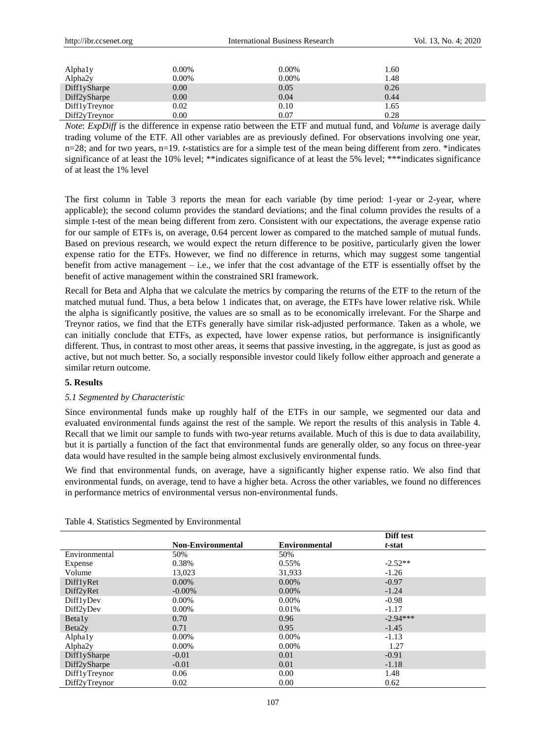| http://ibr.ccsenet.org | <b>International Business Research</b> |          |      | Vol. 13, No. 4: 2020 |
|------------------------|----------------------------------------|----------|------|----------------------|
|                        |                                        |          |      |                      |
| Alphaly                | 0.00%                                  | $0.00\%$ | 1.60 |                      |
| Alpha2y                | $0.00\%$                               | $0.00\%$ | 1.48 |                      |
| DifflySharpe           | 0.00                                   | 0.05     | 0.26 |                      |
| Diff2ySharpe           | 0.00                                   | 0.04     | 0.44 |                      |
| DifflyTreynor          | 0.02                                   | 0.10     | 1.65 |                      |
| Diff2yTreynor          | 0.00                                   | 0.07     | 0.28 |                      |

*Note*: *ExpDiff* is the difference in expense ratio between the ETF and mutual fund, and *Volume* is average daily trading volume of the ETF. All other variables are as previously defined. For observations involving one year, n=28; and for two years, n=19. *t*-statistics are for a simple test of the mean being different from zero. \*indicates significance of at least the 10% level; \*\*indicates significance of at least the 5% level; \*\*\*indicates significance of at least the 1% level

The first column in Table 3 reports the mean for each variable (by time period: 1-year or 2-year, where applicable); the second column provides the standard deviations; and the final column provides the results of a simple t-test of the mean being different from zero. Consistent with our expectations, the average expense ratio for our sample of ETFs is, on average, 0.64 percent lower as compared to the matched sample of mutual funds. Based on previous research, we would expect the return difference to be positive, particularly given the lower expense ratio for the ETFs. However, we find no difference in returns, which may suggest some tangential benefit from active management – i.e., we infer that the cost advantage of the ETF is essentially offset by the benefit of active management within the constrained SRI framework.

Recall for Beta and Alpha that we calculate the metrics by comparing the returns of the ETF to the return of the matched mutual fund. Thus, a beta below 1 indicates that, on average, the ETFs have lower relative risk. While the alpha is significantly positive, the values are so small as to be economically irrelevant. For the Sharpe and Treynor ratios, we find that the ETFs generally have similar risk-adjusted performance. Taken as a whole, we can initially conclude that ETFs, as expected, have lower expense ratios, but performance is insignificantly different. Thus, in contrast to most other areas, it seems that passive investing, in the aggregate, is just as good as active, but not much better. So, a socially responsible investor could likely follow either approach and generate a similar return outcome.

# **5. Results**

# *5.1 Segmented by Characteristic*

Since environmental funds make up roughly half of the ETFs in our sample, we segmented our data and evaluated environmental funds against the rest of the sample. We report the results of this analysis in Table 4. Recall that we limit our sample to funds with two-year returns available. Much of this is due to data availability, but it is partially a function of the fact that environmental funds are generally older, so any focus on three-year data would have resulted in the sample being almost exclusively environmental funds.

We find that environmental funds, on average, have a significantly higher expense ratio. We also find that environmental funds, on average, tend to have a higher beta. Across the other variables, we found no differences in performance metrics of environmental versus non-environmental funds.

|                     |                          |                      | Diff test  |
|---------------------|--------------------------|----------------------|------------|
|                     | <b>Non-Environmental</b> | <b>Environmental</b> | t-stat     |
| Environmental       | 50%                      | 50%                  |            |
| Expense             | 0.38%                    | 0.55%                | $-2.52**$  |
| Volume              | 13,023                   | 31,933               | $-1.26$    |
| DifflyRet           | 0.00%                    | 0.00%                | $-0.97$    |
| Diff2yRet           | $-0.00\%$                | $0.00\%$             | $-1.24$    |
| DifflyDev           | 0.00%                    | 0.00%                | $-0.98$    |
| Diff2yDev           | 0.00%                    | 0.01%                | $-1.17$    |
| <b>Betaly</b>       | 0.70                     | 0.96                 | $-2.94***$ |
| Beta <sub>2y</sub>  | 0.71                     | 0.95                 | $-1.45$    |
| Alphaly             | 0.00%                    | 0.00%                | $-1.13$    |
| Alpha <sub>2y</sub> | 0.00%                    | 0.00%                | 1.27       |
| DifflySharpe        | $-0.01$                  | 0.01                 | $-0.91$    |
| Diff2ySharpe        | $-0.01$                  | 0.01                 | $-1.18$    |
| DifflyTreynor       | 0.06                     | 0.00                 | 1.48       |
| Diff2yTreynor       | 0.02                     | 0.00                 | 0.62       |

Table 4. Statistics Segmented by Environmental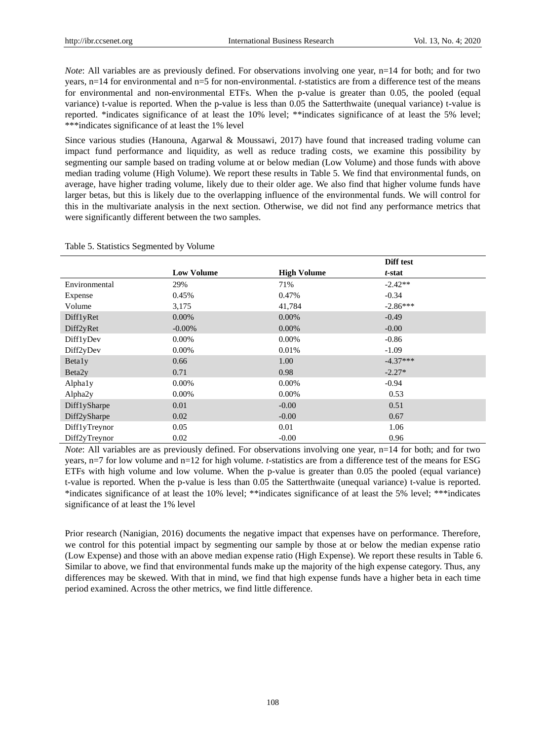*Note*: All variables are as previously defined. For observations involving one year, n=14 for both; and for two years, n=14 for environmental and n=5 for non-environmental. *t*-statistics are from a difference test of the means for environmental and non-environmental ETFs. When the p-value is greater than 0.05, the pooled (equal variance) t-value is reported. When the p-value is less than 0.05 the Satterthwaite (unequal variance) t-value is reported. \*indicates significance of at least the 10% level; \*\*indicates significance of at least the 5% level; \*\*\*indicates significance of at least the 1% level

Since various studies (Hanouna, Agarwal & Moussawi, 2017) have found that increased trading volume can impact fund performance and liquidity, as well as reduce trading costs, we examine this possibility by segmenting our sample based on trading volume at or below median (Low Volume) and those funds with above median trading volume (High Volume). We report these results in Table 5. We find that environmental funds, on average, have higher trading volume, likely due to their older age. We also find that higher volume funds have larger betas, but this is likely due to the overlapping influence of the environmental funds. We will control for this in the multivariate analysis in the next section. Otherwise, we did not find any performance metrics that were significantly different between the two samples.

|                    |                   |                    | Diff test  |  |
|--------------------|-------------------|--------------------|------------|--|
|                    | <b>Low Volume</b> | <b>High Volume</b> | t-stat     |  |
| Environmental      | 29%               | 71%                | $-2.42**$  |  |
| Expense            | 0.45%             | 0.47%              | $-0.34$    |  |
| Volume             | 3,175             | 41,784             | $-2.86***$ |  |
| DifflyRet          | $0.00\%$          | $0.00\%$           | $-0.49$    |  |
| Diff2yRet          | $-0.00\%$         | 0.00%              | $-0.00$    |  |
| DifflyDev          | 0.00%             | 0.00%              | $-0.86$    |  |
| Diff2yDev          | 0.00%             | 0.01%              | $-1.09$    |  |
| Betaly             | 0.66              | 1.00               | $-4.37***$ |  |
| Beta <sub>2y</sub> | 0.71              | 0.98               | $-2.27*$   |  |
| Alphaly            | 0.00%             | 0.00%              | $-0.94$    |  |
| Alpha2y            | 0.00%             | 0.00%              | 0.53       |  |
| DifflySharpe       | 0.01              | $-0.00$            | 0.51       |  |
| Diff2ySharpe       | 0.02              | $-0.00$            | 0.67       |  |
| DifflyTreynor      | 0.05              | 0.01               | 1.06       |  |
| Diff2yTreynor      | 0.02              | $-0.00$            | 0.96       |  |

Table 5. Statistics Segmented by Volume

*Note*: All variables are as previously defined. For observations involving one year, n=14 for both; and for two years, n=7 for low volume and n=12 for high volume. *t*-statistics are from a difference test of the means for ESG ETFs with high volume and low volume. When the p-value is greater than 0.05 the pooled (equal variance) t-value is reported. When the p-value is less than 0.05 the Satterthwaite (unequal variance) t-value is reported. \*indicates significance of at least the 10% level; \*\*indicates significance of at least the 5% level; \*\*\*indicates significance of at least the 1% level

Prior research (Nanigian, 2016) documents the negative impact that expenses have on performance. Therefore, we control for this potential impact by segmenting our sample by those at or below the median expense ratio (Low Expense) and those with an above median expense ratio (High Expense). We report these results in Table 6. Similar to above, we find that environmental funds make up the majority of the high expense category. Thus, any differences may be skewed. With that in mind, we find that high expense funds have a higher beta in each time period examined. Across the other metrics, we find little difference.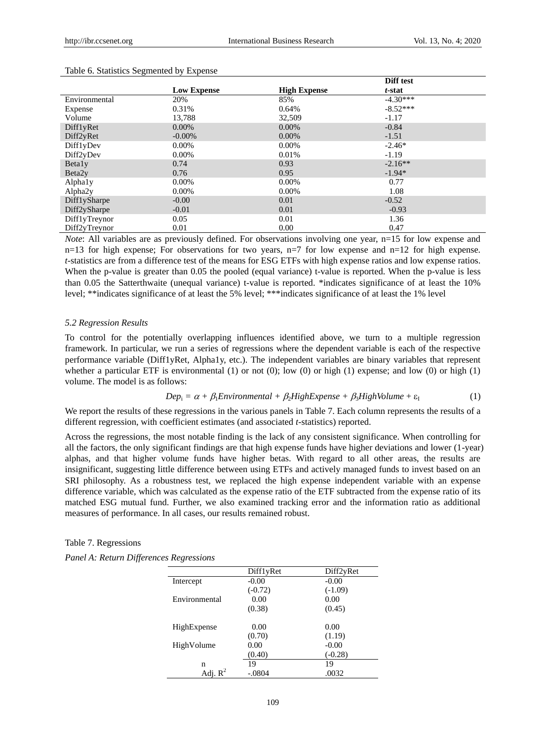|                     |                    |                     | Diff test  |
|---------------------|--------------------|---------------------|------------|
|                     | <b>Low Expense</b> | <b>High Expense</b> | t-stat     |
| Environmental       | 20%                | 85%                 | $-4.30***$ |
| Expense             | 0.31%              | 0.64%               | $-8.52***$ |
| Volume              | 13,788             | 32,509              | $-1.17$    |
| DifflyRet           | $0.00\%$           | $0.00\%$            | $-0.84$    |
| Diff2yRet           | $-0.00\%$          | 0.00%               | $-1.51$    |
| Diff1yDev           | $0.00\%$           | $0.00\%$            | $-2.46*$   |
| Diff2yDev           | 0.00%              | 0.01%               | $-1.19$    |
| <b>Betaly</b>       | 0.74               | 0.93                | $-2.16**$  |
| Beta <sub>2y</sub>  | 0.76               | 0.95                | $-1.94*$   |
| Alphaly             | $0.00\%$           | $0.00\%$            | 0.77       |
| Alpha <sub>2y</sub> | $0.00\%$           | $0.00\%$            | 1.08       |
| Diff1ySharpe        | $-0.00$            | 0.01                | $-0.52$    |
| Diff2ySharpe        | $-0.01$            | 0.01                | $-0.93$    |
| DifflyTreynor       | 0.05               | 0.01                | 1.36       |
| Diff2yTreynor       | 0.01               | 0.00                | 0.47       |

#### Table 6. Statistics Segmented by Expense

*Note*: All variables are as previously defined. For observations involving one year, n=15 for low expense and n=13 for high expense; For observations for two years, n=7 for low expense and n=12 for high expense. *t*-statistics are from a difference test of the means for ESG ETFs with high expense ratios and low expense ratios. When the p-value is greater than 0.05 the pooled (equal variance) t-value is reported. When the p-value is less than 0.05 the Satterthwaite (unequal variance) t-value is reported. \*indicates significance of at least the 10% level; \*\*indicates significance of at least the 5% level; \*\*\*indicates significance of at least the 1% level

#### *5.2 Regression Results*

To control for the potentially overlapping influences identified above, we turn to a multiple regression framework. In particular, we run a series of regressions where the dependent variable is each of the respective performance variable (Diff1yRet, Alpha1y, etc.). The independent variables are binary variables that represent whether a particular ETF is environmental (1) or not (0); low (0) or high (1) expense; and low (0) or high (1) volume. The model is as follows:

$$
Depi = \alpha + \beta_1 Environmental + \beta_2 High Explore
$$
  
(1)

We report the results of these regressions in the various panels in Table 7. Each column represents the results of a different regression, with coefficient estimates (and associated *t*-statistics) reported.

Across the regressions, the most notable finding is the lack of any consistent significance. When controlling for all the factors, the only significant findings are that high expense funds have higher deviations and lower (1-year) alphas, and that higher volume funds have higher betas. With regard to all other areas, the results are insignificant, suggesting little difference between using ETFs and actively managed funds to invest based on an SRI philosophy. As a robustness test, we replaced the high expense independent variable with an expense difference variable, which was calculated as the expense ratio of the ETF subtracted from the expense ratio of its matched ESG mutual fund. Further, we also examined tracking error and the information ratio as additional measures of performance. In all cases, our results remained robust.

Table 7. Regressions

|                     | DifflyRet | Diff2yRet |
|---------------------|-----------|-----------|
| Intercept           | $-0.00$   | $-0.00$   |
|                     | $(-0.72)$ | $(-1.09)$ |
| Environmental       | 0.00      | 0.00      |
|                     | (0.38)    | (0.45)    |
|                     |           |           |
| HighExpense         | 0.00      | 0.00      |
|                     | (0.70)    | (1.19)    |
| HighVolume          | 0.00      | $-0.00$   |
|                     | (0.40)    | $(-0.28)$ |
| n                   | 19        | 19        |
| Adj. $\mathbb{R}^2$ | $-.0804$  | .0032     |
|                     |           |           |

|  |  | Panel A: Return Differences Regressions |  |  |
|--|--|-----------------------------------------|--|--|
|--|--|-----------------------------------------|--|--|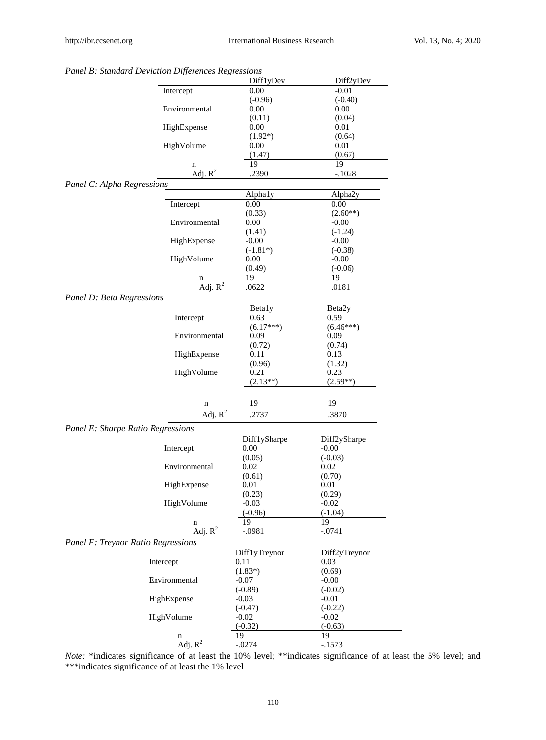|                                    | Diff1yDev       | Diff2yDev          |
|------------------------------------|-----------------|--------------------|
| Intercept                          | 0.00            | $-0.01$            |
|                                    | $(-0.96)$       | $(-0.40)$          |
| Environmental                      | 0.00            | 0.00               |
|                                    | (0.11)          | (0.04)             |
| HighExpense                        | 0.00            | 0.01               |
|                                    | $(1.92*)$       | (0.64)             |
| HighVolume                         | 0.00            | 0.01               |
|                                    | (1.47)          | (0.67)             |
| n                                  | 19              | 19                 |
| Adj. $R^2$                         | .2390           | $-.1028$           |
| Panel C: Alpha Regressions         |                 |                    |
|                                    |                 |                    |
| Intercept                          | Alphaly<br>0.00 | Alpha2y            |
|                                    |                 | 0.00               |
| Environmental                      | (0.33)          | $(2.60**)$         |
|                                    | 0.00            | $-0.00$            |
|                                    | (1.41)          | $(-1.24)$          |
| HighExpense                        | $-0.00$         | $-0.00$            |
|                                    | $(-1.81*)$      | $(-0.38)$          |
| HighVolume                         | 0.00            | $-0.00$            |
|                                    | (0.49)          | $(-0.06)$          |
| n                                  | 19              | 19                 |
| Adj. $R^2$                         | .0622           | .0181              |
| Panel D: Beta Regressions          |                 |                    |
|                                    | <b>Betaly</b>   | Beta <sub>2y</sub> |
| Intercept                          | 0.63            | 0.59               |
|                                    | $(6.17***)$     | $(6.46***)$        |
| Environmental                      | 0.09            | 0.09               |
|                                    | (0.72)          | (0.74)             |
| HighExpense                        | 0.11            | 0.13               |
|                                    | (0.96)          | (1.32)             |
| HighVolume                         | 0.21            | 0.23               |
|                                    | $(2.13**)$      | $(2.59**)$         |
|                                    |                 |                    |
| n                                  | 19              | 19                 |
|                                    |                 |                    |
| Adj. $R^2$                         | .2737           | .3870              |
| Panel E: Sharpe Ratio Regressions  |                 |                    |
|                                    | Diff1ySharpe    | Diff2ySharpe       |
| Intercept                          | 0.00            | $-0.00$            |
|                                    | (0.05)          | $(-0.03)$          |
| Environmental                      | 0.02            | 0.02               |
|                                    |                 |                    |
| HighExpense                        | (0.61)          | (0.70)             |
|                                    | $0.01\,$        | 0.01               |
|                                    | (0.23)          | (0.29)             |
| HighVolume                         | $-0.03$         | $-0.02$            |
|                                    | $(-0.96)$       | $(-1.04)$          |
| n                                  | 19              | 19                 |
| Adj. $R^2$                         | $-.0981$        | $-.0741$           |
| Panel F: Treynor Ratio Regressions |                 |                    |
|                                    | DifflyTreynor   | Diff2yTreynor      |
| Intercept                          | 0.11            | 0.03               |
|                                    | $(1.83*)$       | (0.69)             |
| Environmental                      | $-0.07$         | $-0.00$            |
|                                    | $(-0.89)$       | $(-0.02)$          |
| HighExpense                        | $-0.03$         | $-0.01$            |
|                                    | $(-0.47)$       | $(-0.22)$          |
| HighVolume                         | $-0.02$         | $-0.02$            |
|                                    | $(-0.32)$       | $(-0.63)$          |
| n                                  | 19              | 19                 |
| Adj. $R^2$                         | $-.0274$        | $-.1573$           |
|                                    |                 |                    |

# *Panel B: Standard Deviation Differences Regressions*

*Note:* \*indicates significance of at least the 10% level; \*\*indicates significance of at least the 5% level; and \*\*\*indicates significance of at least the 1% level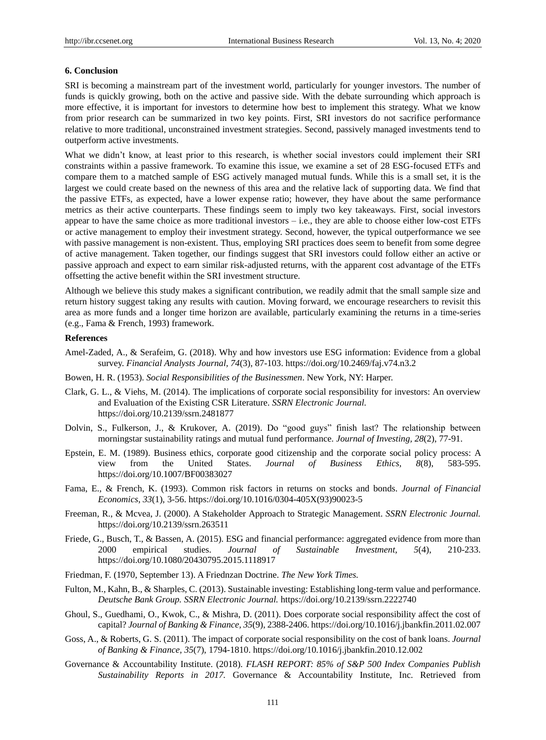#### **6. Conclusion**

SRI is becoming a mainstream part of the investment world, particularly for younger investors. The number of funds is quickly growing, both on the active and passive side. With the debate surrounding which approach is more effective, it is important for investors to determine how best to implement this strategy. What we know from prior research can be summarized in two key points. First, SRI investors do not sacrifice performance relative to more traditional, unconstrained investment strategies. Second, passively managed investments tend to outperform active investments.

What we didn't know, at least prior to this research, is whether social investors could implement their SRI constraints within a passive framework. To examine this issue, we examine a set of 28 ESG-focused ETFs and compare them to a matched sample of ESG actively managed mutual funds. While this is a small set, it is the largest we could create based on the newness of this area and the relative lack of supporting data. We find that the passive ETFs, as expected, have a lower expense ratio; however, they have about the same performance metrics as their active counterparts. These findings seem to imply two key takeaways. First, social investors appear to have the same choice as more traditional investors  $-$  i.e., they are able to choose either low-cost ETFs or active management to employ their investment strategy. Second, however, the typical outperformance we see with passive management is non-existent. Thus, employing SRI practices does seem to benefit from some degree of active management. Taken together, our findings suggest that SRI investors could follow either an active or passive approach and expect to earn similar risk-adjusted returns, with the apparent cost advantage of the ETFs offsetting the active benefit within the SRI investment structure.

Although we believe this study makes a significant contribution, we readily admit that the small sample size and return history suggest taking any results with caution. Moving forward, we encourage researchers to revisit this area as more funds and a longer time horizon are available, particularly examining the returns in a time-series (e.g., Fama & French, 1993) framework.

# **References**

- Amel-Zaded, A., & Serafeim, G. (2018). Why and how investors use ESG information: Evidence from a global survey. *Financial Analysts Journal, 74*(3), 87-103. https://doi.org/10.2469/faj.v74.n3.2
- Bowen, H. R. (1953). *Social Responsibilities of the Businessmen*. New York, NY: Harper.
- Clark, G. L., & Viehs, M. (2014). The implications of corporate social responsibility for investors: An overview and Evaluation of the Existing CSR Literature. *SSRN Electronic Journal.* https://doi.org/10.2139/ssrn.2481877
- Dolvin, S., Fulkerson, J., & Krukover, A. (2019). Do "good guys" finish last? The relationship between morningstar sustainability ratings and mutual fund performance*. Journal of Investing, 28*(2), 77-91.
- Epstein, E. M. (1989). Business ethics, corporate good citizenship and the corporate social policy process: A view from the United States. *Journal of Business Ethics, 8*(8), 583-595. https://doi.org/10.1007/BF00383027
- Fama, E., & French, K. (1993). Common risk factors in returns on stocks and bonds. *Journal of Financial Economics*, *33*(1), 3-56. https://doi.org/10.1016/0304-405X(93)90023-5
- Freeman, R., & Mcvea, J. (2000). A Stakeholder Approach to Strategic Management. *SSRN Electronic Journal.* https://doi.org/10.2139/ssrn.263511
- Friede, G., Busch, T., & Bassen, A. (2015). ESG and financial performance: aggregated evidence from more than 2000 empirical studies. *Journal of Sustainable Investment, 5*(4), 210-233. https://doi.org/10.1080/20430795.2015.1118917
- Friedman, F. (1970, September 13). A Friednzan Doctrine. *The New York Times.*
- Fulton, M., Kahn, B., & Sharples, C. (2013). Sustainable investing: Establishing long-term value and performance. *Deutsche Bank Group. SSRN Electronic Journal.* https://doi.org/10.2139/ssrn.2222740
- Ghoul, S., Guedhami, O., Kwok, C., & Mishra, D. (2011). Does corporate social responsibility affect the cost of capital? *Journal of Banking & Finance, 35*(9), 2388-2406. https://doi.org/10.1016/j.jbankfin.2011.02.007
- Goss, A., & Roberts, G. S. (2011). The impact of corporate social responsibility on the cost of bank loans. *Journal of Banking & Finance, 35*(7), 1794-1810. https://doi.org/10.1016/j.jbankfin.2010.12.002
- Governance & Accountability Institute. (2018). *FLASH REPORT: 85% of S&P 500 Index Companies Publish Sustainability Reports in 2017.* Governance & Accountability Institute, Inc. Retrieved from